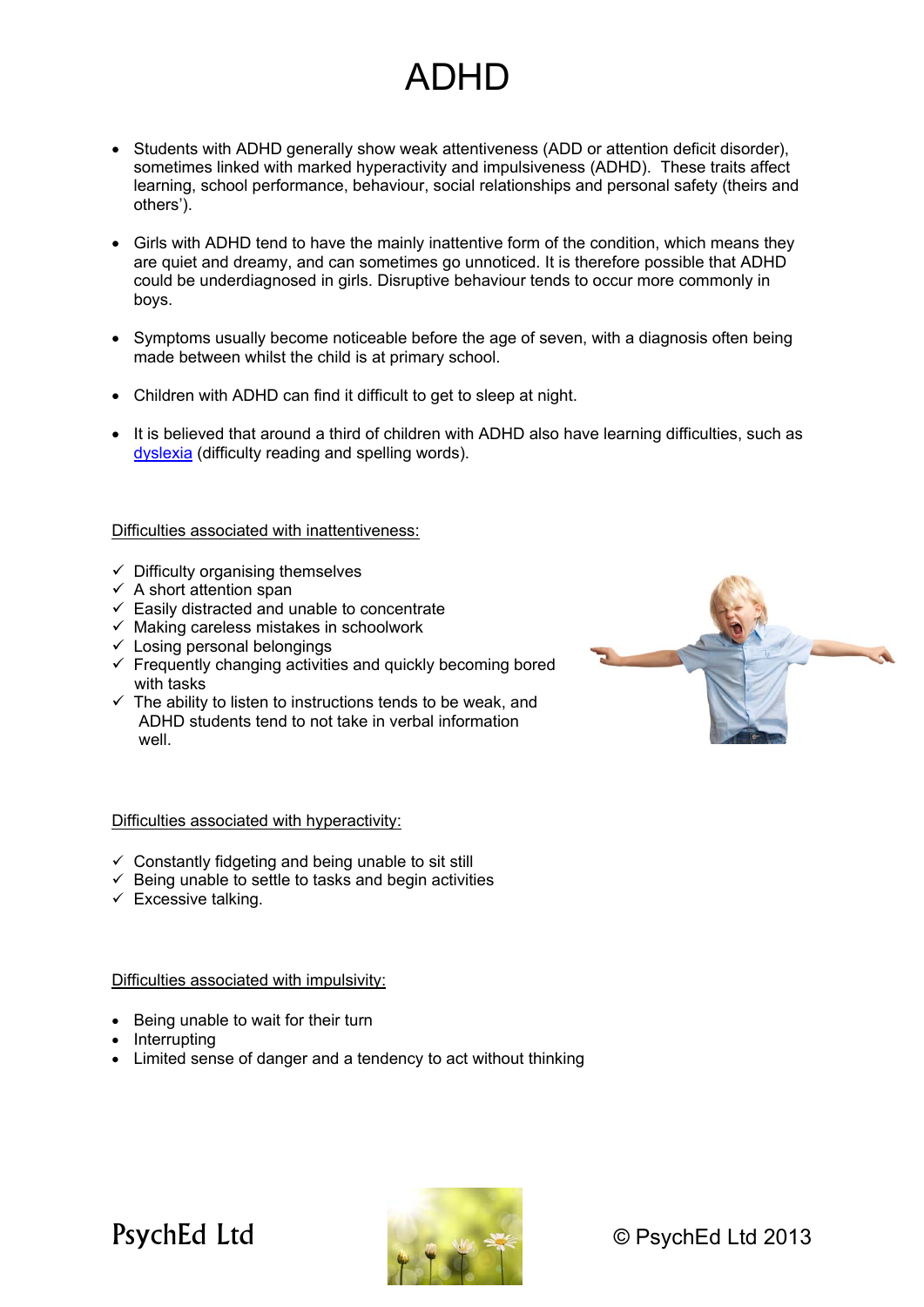## ADHD

- Students with ADHD generally show weak attentiveness (ADD or attention deficit disorder), sometimes linked with marked hyperactivity and impulsiveness (ADHD). These traits affect learning, school performance, behaviour, social relationships and personal safety (theirs and others').
- Girls with ADHD tend to have the mainly inattentive form of the condition, which means they are quiet and dreamy, and can sometimes go unnoticed. It is therefore possible that ADHD could be underdiagnosed in girls. Disruptive behaviour tends to occur more commonly in boys.
- Symptoms usually become noticeable before the age of seven, with a diagnosis often being made between whilst the child is at primary school.
- Children with ADHD can find it difficult to get to sleep at night.
- It is believed that around a third of children with ADHD also have learning difficulties, such as dyslexia (difficulty reading and spelling words).

Difficulties associated with inattentiveness:

- $\checkmark$  Difficulty organising themselves
- $\checkmark$  A short attention span
- $\checkmark$  Easily distracted and unable to concentrate
- $\checkmark$  Making careless mistakes in schoolwork
- $\checkmark$  Losing personal belongings
- $\checkmark$  Frequently changing activities and quickly becoming bored with tasks
- $\checkmark$  The ability to listen to instructions tends to be weak, and ADHD students tend to not take in verbal information well.



## Difficulties associated with hyperactivity:

- $\checkmark$  Constantly fidgeting and being unable to sit still
- $\checkmark$  Being unable to settle to tasks and begin activities
- $\checkmark$  Excessive talking.

Difficulties associated with impulsivity:

- Being unable to wait for their turn
- Interrupting
- Limited sense of danger and a tendency to act without thinking